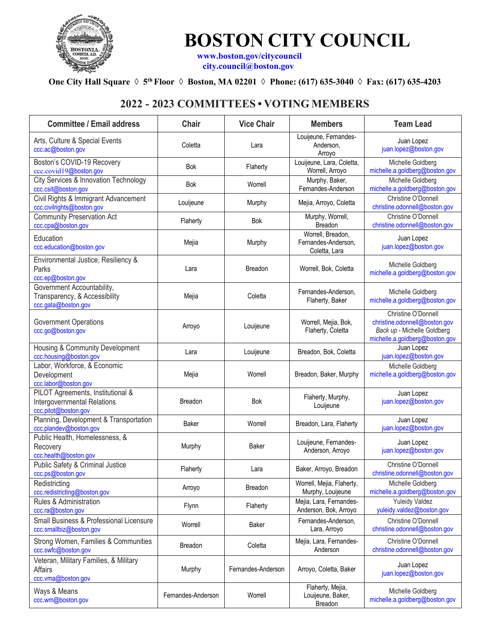

## **BOSTON CITY COUNCIL [www.boston.gov/citycouncil](http://www.boston.gov/citycouncil)**

 **[city.council@boston.gov](mailto:city.council@boston.gov)**

## **One City Hall Square ◊ 5th Floor ◊ Boston, MA 02201 ◊ Phone: (617) 635-3040 ◊ Fax: (617) 635-4203**

## **2022 - 2023 COMMITTEES • VOTING MEMBERS**

| <b>Committee / Email address</b>                                                         | Chair              | <b>Vice Chair</b>  | <b>Members</b>                                            | <b>Team Lead</b>                                                                                                      |
|------------------------------------------------------------------------------------------|--------------------|--------------------|-----------------------------------------------------------|-----------------------------------------------------------------------------------------------------------------------|
| Arts, Culture & Special Events<br>ccc.ac@boston.gov                                      | Coletta            | Lara               | Louijeune, Fernandes-<br>Anderson.<br>Arroyo              | Juan Lopez<br>juan.lopez@boston.gov                                                                                   |
| Boston's COVID-19 Recovery<br>ccc.covid19@boston.gov                                     | Bok                | Flaherty           | Louijeune, Lara, Coletta,<br>Worrell, Arroyo              | Michelle Goldberg<br>michelle.a.goldberg@boston.gov                                                                   |
| City Services & Innovation Technology<br>ccc.csit@boston.gov                             | Bok                | Worrell            | Murphy, Baker,<br>Fernandes-Anderson                      | Michelle Goldberg<br>michelle.a.goldberg@boston.gov                                                                   |
| Civil Rights & Immigrant Advancement<br>ccc.civilrights@boston.gov                       | Louijeune          | Murphy             | Mejia, Arroyo, Coletta                                    | Christine O'Donnell<br>christine.odonnell@boston.gov                                                                  |
| <b>Community Preservation Act</b><br>ccc.cpa@boston.gov                                  | Flaherty           | <b>Bok</b>         | Murphy, Worrell,<br>Breadon                               | Christine O'Donnell<br>christine.odonnell@boston.gov                                                                  |
| Education<br>ccc.education@boston.gov                                                    | Mejia              | Murphy             | Worrell, Breadon,<br>Fernandes-Anderson,<br>Coletta, Lara | Juan Lopez<br>juan.lopez@boston.gov                                                                                   |
| Environmental Justice, Resiliency &<br>Parks<br>ccc.ep@boston.gov                        | Lara               | Breadon            | Worrell, Bok, Coletta                                     | Michelle Goldberg<br>michelle.a.goldberg@boston.gov                                                                   |
| Government Accountability,<br>Transparency, & Accessibility<br>ccc.gata@boston.gov       | Mejia              | Coletta            | Fernandes-Anderson,<br>Flaherty, Baker                    | Michelle Goldberg<br>michelle.a.goldberg@boston.gov                                                                   |
| <b>Government Operations</b><br>ccc.go@boston.gov                                        | Arroyo             | Louijeune          | Worrell, Mejia, Bok,<br>Flaherty, Coletta                 | Christine O'Donnell<br>christine.odonnell@boston.gov<br>Back up - Michelle Goldberg<br>michelle.a.goldberg@boston.gov |
| Housing & Community Development<br>ccc.housing@boston.gov                                | Lara               | Louijeune          | Breadon, Bok, Coletta                                     | Juan Lopez<br>juan.lopez@boston.gov                                                                                   |
| Labor, Workforce, & Economic<br>Development<br>ccc.labor@boston.gov                      | Mejia              | Worrell            | Breadon, Baker, Murphy                                    | Michelle Goldberg<br>michelle.a.goldberg@boston.gov                                                                   |
| PILOT Agreements, Institutional &<br>Intergovernmental Relations<br>ccc.pilot@boston.gov | <b>Breadon</b>     | Bok                | Flaherty, Murphy,<br>Louijeune                            | Juan Lopez<br>juan.lopez@boston.gov                                                                                   |
| Planning, Development & Transportation<br>ccc.plandev@boston.gov                         | Baker              | Worrell            | Breadon, Lara, Flaherty                                   | Juan Lopez<br>juan.lopez@boston.gov                                                                                   |
| Public Health, Homelessness, &<br>Recovery<br>ccc.health@boston.gov                      | Murphy             | Baker              | Louijeune, Fernandes-<br>Anderson, Arroyo                 | Juan Lopez<br>juan.lopez@boston.gov                                                                                   |
| Public Safety & Criminal Justice<br>ccc.ps@boston.gov                                    | Flaherty           | Lara               | Baker, Arroyo, Breadon                                    | Christine O'Donnell<br>christine.odonnell@boston.gov                                                                  |
| Redistricting<br>ccc.redistricting@boston.gov                                            | Arroyo             | Breadon            | Worrell, Mejia, Flaherty,<br>Murphy, Louijeune            | Michelle Goldberg<br>michelle.a.goldberg@boston.gov                                                                   |
| Rules & Administration<br>ccc.ra@boston.gov                                              | Flynn              | Flaherty           | Mejia, Lara, Fernandes-<br>Anderson, Bok, Arroyo          | <b>Yuleidy Valdez</b><br>yuleidy.valdez@boston.gov                                                                    |
| Small Business & Professional Licensure<br>ccc.smallbiz@boston.gov                       | Worrell            | Baker              | Fernandes-Anderson,<br>Lara, Arroyo                       | Christine O'Donnell<br>christine.odonnell@boston.gov                                                                  |
| Strong Women, Families & Communities<br>ccc.swfc@boston.gov                              | Breadon            | Coletta            | Mejia, Lara, Fernandes-<br>Anderson                       | Christine O'Donnell<br>christine.odonnell@boston.gov                                                                  |
| Veteran, Military Families, & Military<br>Affairs<br>ccc.vma@boston.gov                  | Murphy             | Fernandes-Anderson | Arroyo, Coletta, Baker                                    | Juan Lopez<br>juan.lopez@boston.gov                                                                                   |
| Ways & Means<br>ccc.wm@boston.gov                                                        | Fernandes-Anderson | Worrell            | Flaherty, Mejia,<br>Louijeune, Baker,<br>Breadon          | Michelle Goldberg<br>michelle.a.goldberg@boston.gov                                                                   |